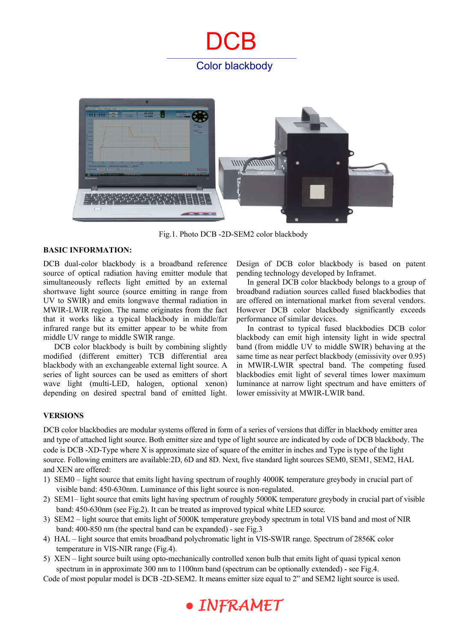## **DCB** Color blackbody



Fig.1. Photo DCB -2D-SEM2 color blackbody

#### **BASIC INFORMATION:**

DCB dual-color blackbody is a broadband reference source of optical radiation having emitter module that simultaneously reflects light emitted by an external shortwave light source (source emitting in range from UV to SWIR) and emits longwave thermal radiation in MWIR-LWIR region. The name originates from the fact that it works like a typical blackbody in middle/far infrared range but its emitter appear to be white from middle UV range to middle SWIR range.

DCB color blackbody is built by combining slightly modified (different emitter) TCB differential area blackbody with an exchangeable external light source. A series of light sources can be used as emitters of short wave light (multi-LED, halogen, optional xenon) depending on desired spectral band of emitted light. Design of DCB color blackbody is based on patent pending technology developed by Inframet.

In general DCB color blackbody belongs to a group of broadband radiation sources called fused blackbodies that are offered on international market from several vendors. However DCB color blackbody significantly exceeds performance of similar devices.

In contrast to typical fused blackbodies DCB color blackbody can emit high intensity light in wide spectral band (from middle UV to middle SWIR) behaving at the same time as near perfect blackbody (emissivity over 0.95) in MWIR-LWIR spectral band. The competing fused blackbodies emit light of several times lower maximum luminance at narrow light spectrum and have emitters of lower emissivity at MWIR-LWIR band.

#### **VERSIONS**

DCB color blackbodies are modular systems offered in form of a series of versions that differ in blackbody emitter area and type of attached light source. Both emitter size and type of light source are indicated by code of DCB blackbody. The code is DCB -XD-Type where X is approximate size of square of the emitter in inches and Type is type of the light source. Following emitters are available:2D, 6D and 8D. Next, five standard light sources SEM0, SEM1, SEM2, HAL and XEN are offered:

- 1) SEM0 light source that emits light having spectrum of roughly 4000K temperature greybody in crucial part of visible band: 450-630nm. Luminance of this light source is non-regulated.
- 2) SEM1– light source that emits light having spectrum of roughly 5000K temperature greybody in crucial part of visible band: 450-630nm (see Fig.2). It can be treated as improved typical white LED source.
- 3) SEM2 light source that emits light of 5000K temperature greybody spectrum in total VIS band and most of NIR band: 400-850 nm (the spectral band can be expanded) - see Fig.3
- 4) HAL light source that emits broadband polychromatic light in VIS-SWIR range. Spectrum of 2856K color temperature in VIS-NIR range (Fig.4).
- 5) XEN light source built using opto-mechanically controlled xenon bulb that emits light of quasi typical xenon spectrum in in approximate 300 nm to 1100nm band (spectrum can be optionally extended) - see Fig.4.

Code of most popular model is DCB -2D-SEM2. It means emitter size equal to 2" and SEM2 light source is used.

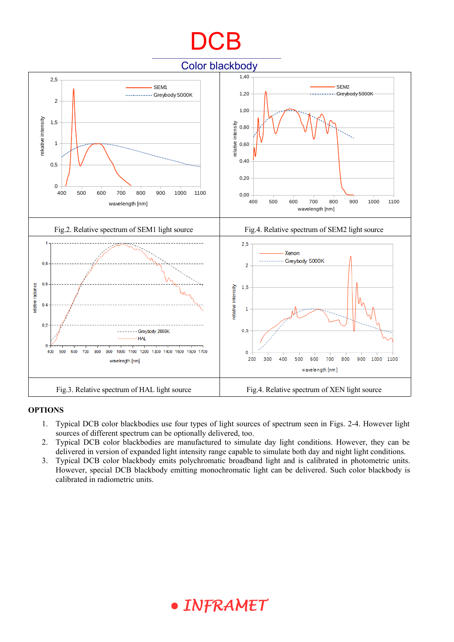# DC<sub>B</sub>

Color blackbody



#### **OPTIONS**

- 1. Typical DCB color blackbodies use four types of light sources of spectrum seen in Figs. 2-4. However light sources of different spectrum can be optionally delivered, too.
- 2. Typical DCB color blackbodies are manufactured to simulate day light conditions. However, they can be delivered in version of expanded light intensity range capable to simulate both day and night light conditions.
- 3. Typical DCB color blackbody emits polychromatic broadband light and is calibrated in photometric units. However, special DCB blackbody emitting monochromatic light can be delivered. Such color blackbody is calibrated in radiometric units.